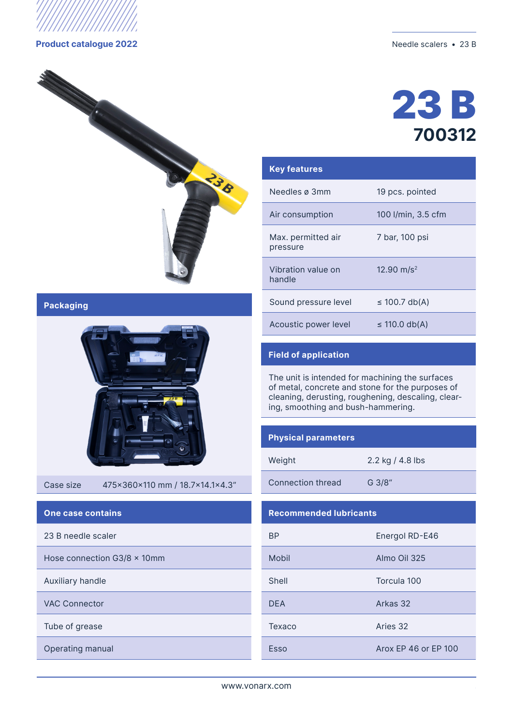

#### **Product catalogue 2022** Needle scalers • 23 B



**Packaging**



Case size 475x360x110 mm / 18.7x14.1x4.3"

### **One case contains**

23 B needle scaler

Hose connection  $G3/8 \times 10$ mm

Auxiliary handle

VAC Connector

Тube of grease

Operating manual



# 23 B **700312**

| <b>Key features</b>            |                          |
|--------------------------------|--------------------------|
| Needles ø 3mm                  | 19 pcs. pointed          |
| Air consumption                | 100 l/min, 3.5 cfm       |
| Max. permitted air<br>pressure | 7 bar, 100 psi           |
| Vibration value on<br>handle   | $12.90$ m/s <sup>2</sup> |
| Sound pressure level           | $\leq$ 100.7 db(A)       |
| Acoustic power level           | $\leq$ 110.0 db(A)       |
|                                |                          |

## **Field of application**

The unit is intended for machining the surfaces of metal, concrete and stone for the purposes of cleaning, derusting, roughening, descaling, clearing, smoothing and bush-hammering.

#### **Physical parameters**

| Weight |  |
|--------|--|
|        |  |

2.2 kg / 4.8 lbs

Connection thread G 3/8"

### **Recommended lubricants**

| ВP         | Energol RD-E46       |  |  |
|------------|----------------------|--|--|
| Mobil      | Almo Oil 325         |  |  |
| Shell      | Torcula 100          |  |  |
| <b>DEA</b> | Arkas 32             |  |  |
| Texaco     | Aries 32             |  |  |
| Esso       | Arox FP 46 or FP 100 |  |  |